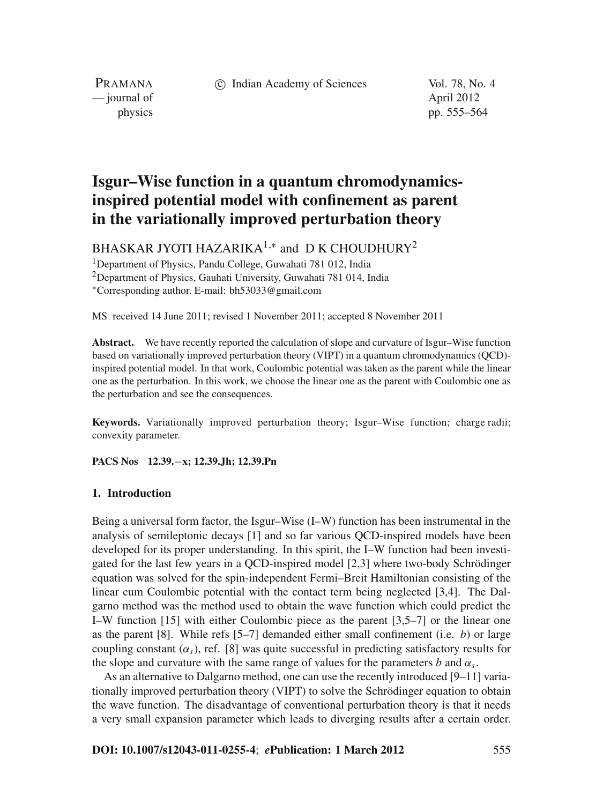c Indian Academy of Sciences Vol. 78, No. 4

PRAMANA — journal of April 2012

physics pp. 555–564

# **Isgur–Wise function in a quantum chromodynamicsinspired potential model with confinement as parent in the variationally improved perturbation theory**

BHASKAR JYOTI HAZARIKA<sup>1,\*</sup> and D K CHOUDHURY<sup>2</sup>

<sup>1</sup>Department of Physics, Pandu College, Guwahati 781 012, India

2Department of Physics, Gauhati University, Guwahati 781 014, India

<sup>∗</sup>Corresponding author. E-mail: bh53033@gmail.com

MS received 14 June 2011; revised 1 November 2011; accepted 8 November 2011

**Abstract.** We have recently reported the calculation of slope and curvature of Isgur–Wise function based on variationally improved perturbation theory (VIPT) in a quantum chromodynamics (QCD) inspired potential model. In that work, Coulombic potential was taken as the parent while the linear one as the perturbation. In this work, we choose the linear one as the parent with Coulombic one as the perturbation and see the consequences.

**Keywords.** Variationally improved perturbation theory; Isgur–Wise function; charge radii; convexity parameter.

**PACS Nos 12.39.**−**x; 12.39.Jh; 12.39.Pn**

# **1. Introduction**

Being a universal form factor, the Isgur–Wise (I–W) function has been instrumental in the analysis of semileptonic decays [1] and so far various QCD-inspired models have been developed for its proper understanding. In this spirit, the I–W function had been investigated for the last few years in a QCD-inspired model [2,3] where two-body Schrödinger equation was solved for the spin-independent Fermi–Breit Hamiltonian consisting of the linear cum Coulombic potential with the contact term being neglected [3,4]. The Dalgarno method was the method used to obtain the wave function which could predict the I–W function [15] with either Coulombic piece as the parent [3,5–7] or the linear one as the parent [8]. While refs [5–7] demanded either small confinement (i.e. *b*) or large coupling constant  $(\alpha_s)$ , ref. [8] was quite successful in predicting satisfactory results for the slope and curvature with the same range of values for the parameters *b* and  $\alpha_s$ .

As an alternative to Dalgarno method, one can use the recently introduced [9–11] variationally improved perturbation theory (VIPT) to solve the Schrödinger equation to obtain the wave function. The disadvantage of conventional perturbation theory is that it needs a very small expansion parameter which leads to diverging results after a certain order.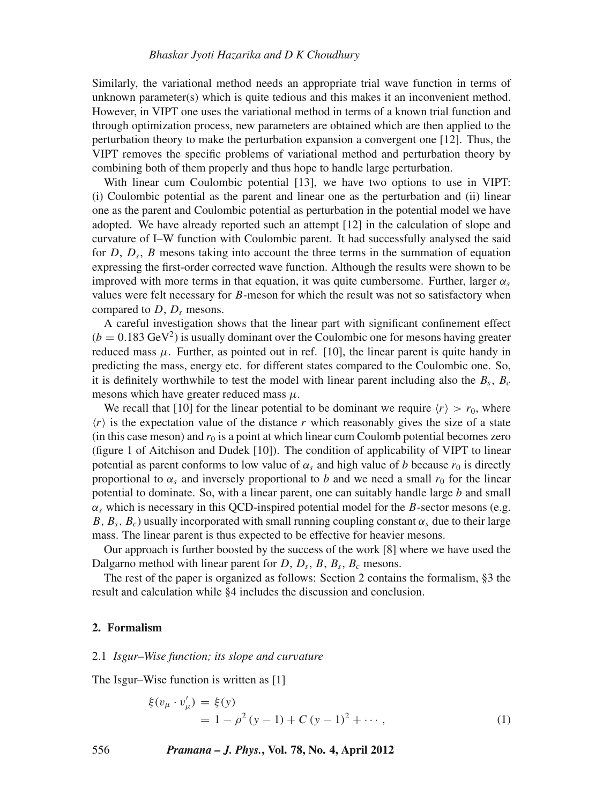# *Bhaskar Jyoti Hazarika and D K Choudhury*

Similarly, the variational method needs an appropriate trial wave function in terms of unknown parameter(s) which is quite tedious and this makes it an inconvenient method. However, in VIPT one uses the variational method in terms of a known trial function and through optimization process, new parameters are obtained which are then applied to the perturbation theory to make the perturbation expansion a convergent one [12]. Thus, the VIPT removes the specific problems of variational method and perturbation theory by combining both of them properly and thus hope to handle large perturbation.

With linear cum Coulombic potential [13], we have two options to use in VIPT: (i) Coulombic potential as the parent and linear one as the perturbation and (ii) linear one as the parent and Coulombic potential as perturbation in the potential model we have adopted. We have already reported such an attempt [12] in the calculation of slope and curvature of I–W function with Coulombic parent. It had successfully analysed the said for  $D$ ,  $D_s$ ,  $B$  mesons taking into account the three terms in the summation of equation expressing the first-order corrected wave function. Although the results were shown to be improved with more terms in that equation, it was quite cumbersome. Further, larger  $\alpha_s$ values were felt necessary for *B*-meson for which the result was not so satisfactory when compared to *D*, *Ds* mesons.

A careful investigation shows that the linear part with significant confinement effect  $(b = 0.183 \text{ GeV}^2)$  is usually dominant over the Coulombic one for mesons having greater reduced mass  $\mu$ . Further, as pointed out in ref. [10], the linear parent is quite handy in predicting the mass, energy etc. for different states compared to the Coulombic one. So, it is definitely worthwhile to test the model with linear parent including also the  $B_s$ ,  $B_c$ mesons which have greater reduced mass  $\mu$ .

We recall that [10] for the linear potential to be dominant we require  $\langle r \rangle > r_0$ , where  $\langle r \rangle$  is the expectation value of the distance r which reasonably gives the size of a state (in this case meson) and  $r_0$  is a point at which linear cum Coulomb potential becomes zero (figure 1 of Aitchison and Dudek [10]). The condition of applicability of VIPT to linear potential as parent conforms to low value of  $\alpha_s$  and high value of *b* because  $r_0$  is directly proportional to  $\alpha_s$  and inversely proportional to *b* and we need a small  $r_0$  for the linear potential to dominate. So, with a linear parent, one can suitably handle large *b* and small  $\alpha_s$  which is necessary in this QCD-inspired potential model for the *B*-sector mesons (e.g. *B*,  $B_s$ ,  $B_c$ ) usually incorporated with small running coupling constant  $\alpha_s$  due to their large mass. The linear parent is thus expected to be effective for heavier mesons.

Our approach is further boosted by the success of the work [8] where we have used the Dalgarno method with linear parent for  $D$ ,  $D_s$ ,  $B_s$ ,  $B_c$  mesons.

The rest of the paper is organized as follows: Section 2 contains the formalism, §3 the result and calculation while §4 includes the discussion and conclusion.

# **2. Formalism**

### 2.1 *Isgur–Wise function; its slope and cur*v*ature*

The Isgur–Wise function is written as [1]

$$
\xi(v_{\mu} \cdot v'_{\mu}) = \xi(y) \n= 1 - \rho^2 (y - 1) + C (y - 1)^2 + \cdots,
$$
\n(1)

556 *Pramana – J. Phys.***, Vol. 78, No. 4, April 2012**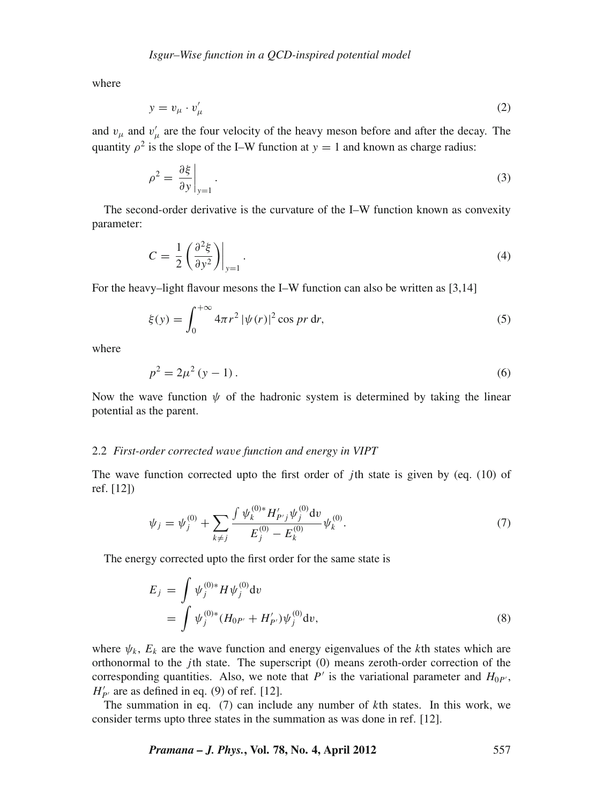where

$$
y = v_{\mu} \cdot v_{\mu}' \tag{2}
$$

and  $v_{\mu}$  and  $v'_{\mu}$  are the four velocity of the heavy meson before and after the decay. The quantity  $\rho^2$  is the slope of the I–W function at  $y = 1$  and known as charge radius:

$$
\rho^2 = \left. \frac{\partial \xi}{\partial y} \right|_{y=1} . \tag{3}
$$

The second-order derivative is the curvature of the I–W function known as convexity parameter:

$$
C = \frac{1}{2} \left( \frac{\partial^2 \xi}{\partial y^2} \right) \Big|_{y=1} . \tag{4}
$$

For the heavy–light flavour mesons the I–W function can also be written as [3,14]

$$
\xi(y) = \int_0^{+\infty} 4\pi r^2 |\psi(r)|^2 \cos pr \,dr,\tag{5}
$$

where

$$
p^2 = 2\mu^2 (y - 1).
$$
 (6)

Now the wave function  $\psi$  of the hadronic system is determined by taking the linear potential as the parent.

# 2.2 *First-order corrected wa*v*e function and energy in VIPT*

The wave function corrected upto the first order of *j*th state is given by (eq. (10) of ref. [12])

$$
\psi_j = \psi_j^{(0)} + \sum_{k \neq j} \frac{\int \psi_k^{(0)*} H'_{P'j} \psi_j^{(0)} dv}{E_j^{(0)} - E_k^{(0)}} \psi_k^{(0)}.
$$
\n(7)

The energy corrected upto the first order for the same state is

$$
E_j = \int \psi_j^{(0)*} H \psi_j^{(0)} dv
$$
  
= 
$$
\int \psi_j^{(0)*} (H_{0P'} + H'_{P'}) \psi_j^{(0)} dv,
$$
 (8)

where  $\psi_k$ ,  $E_k$  are the wave function and energy eigenvalues of the *k*th states which are orthonormal to the *j*th state. The superscript (0) means zeroth-order correction of the corresponding quantities. Also, we note that  $P'$  is the variational parameter and  $H_{0P'}$ ,  $H'_{P'}$  are as defined in eq. (9) of ref. [12].

The summation in eq. (7) can include any number of *k*th states. In this work, we consider terms upto three states in the summation as was done in ref. [12].

*Pramana – J. Phys.***, Vol. 78, No. 4, April 2012** 557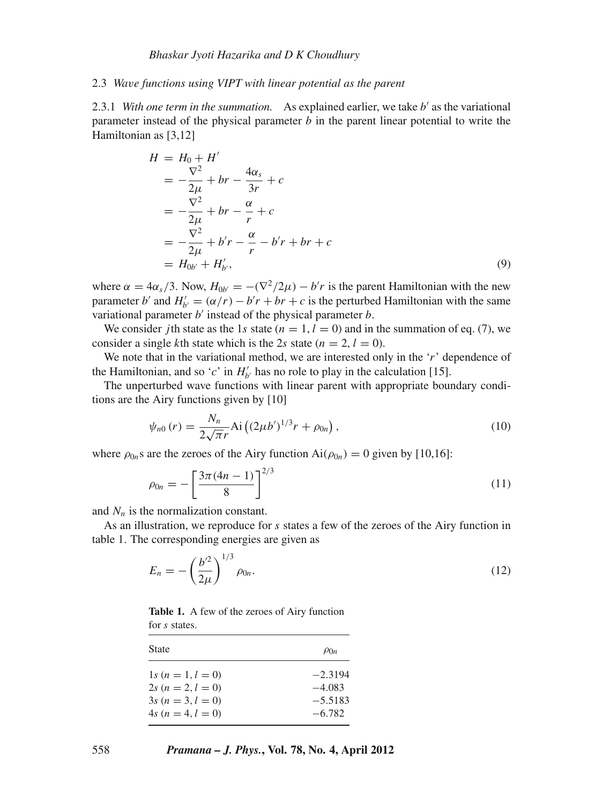#### *Bhaskar Jyoti Hazarika and D K Choudhury*

#### 2.3 *Wa*v*e functions using VIPT with linear potential as the parent*

2.3.1 *With one term in the summation.* As explained earlier, we take  $b'$  as the variational parameter instead of the physical parameter *b* in the parent linear potential to write the Hamiltonian as [3,12]

$$
H = H_0 + H'
$$
  
=  $-\frac{\nabla^2}{2\mu} + br - \frac{4\alpha_s}{3r} + c$   
=  $-\frac{\nabla^2}{2\mu} + br - \frac{\alpha}{r} + c$   
=  $-\frac{\nabla^2}{2\mu} + b'r - \frac{\alpha}{r} - b'r + br + c$   
=  $H_{0b'} + H'_{b'}$ , (9)

where  $\alpha = 4\alpha_s/3$ . Now,  $H_{0b'} = -(\nabla^2/2\mu) - b'r$  is the parent Hamiltonian with the new parameter *b*' and  $H'_{b'} = (\alpha/r) - b'r + br + c$  is the perturbed Hamiltonian with the same variational parameter *b'* instead of the physical parameter *b*.

We consider *j*th state as the 1*s* state  $(n = 1, l = 0)$  and in the summation of eq. (7), we consider a single *k*th state which is the 2*s* state ( $n = 2$ ,  $l = 0$ ).

We note that in the variational method, we are interested only in the '*r*' dependence of the Hamiltonian, and so '*c*' in  $H'_{b'}$  has no role to play in the calculation [15].

The unperturbed wave functions with linear parent with appropriate boundary conditions are the Airy functions given by [10]

$$
\psi_{n0}(r) = \frac{N_n}{2\sqrt{\pi}r} \text{Ai}\left((2\mu b')^{1/3}r + \rho_{0n}\right),\tag{10}
$$

where  $\rho_{0n}$ s are the zeroes of the Airy function Ai $(\rho_{0n}) = 0$  given by [10,16]:

$$
\rho_{0n} = -\left[\frac{3\pi(4n-1)}{8}\right]^{2/3} \tag{11}
$$

and  $N_n$  is the normalization constant.

As an illustration, we reproduce for *s* states a few of the zeroes of the Airy function in table 1. The corresponding energies are given as

$$
E_n = -\left(\frac{b^2}{2\mu}\right)^{1/3} \rho_{0n}.\tag{12}
$$

**Table 1.** A few of the zeroes of Airy function for *s* states.

| State               | $\rho_{0n}$ |
|---------------------|-------------|
| $1s (n = 1, l = 0)$ | $-2.3194$   |
| $2s (n = 2, l = 0)$ | $-4.083$    |
| $3s (n = 3, l = 0)$ | $-5.5183$   |
| $4s (n = 4, l = 0)$ | $-6.782$    |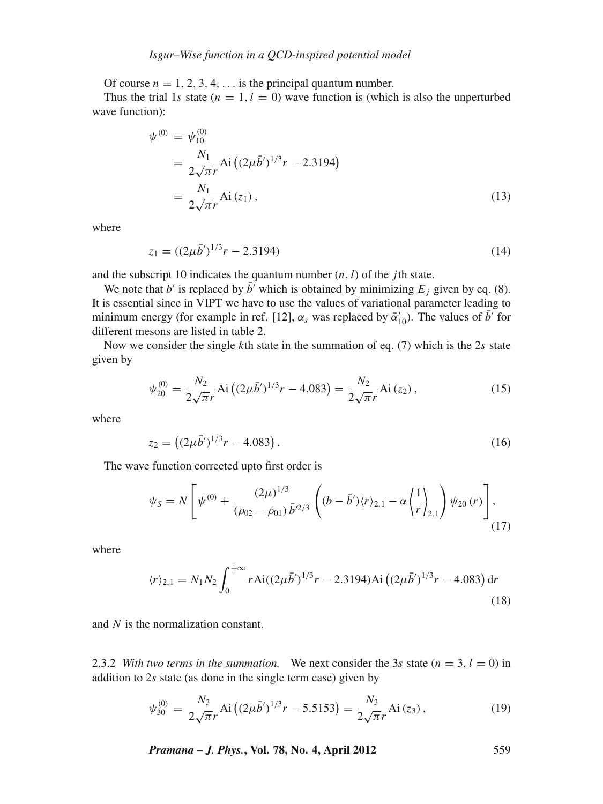Of course  $n = 1, 2, 3, 4, \ldots$  is the principal quantum number.

Thus the trial 1*s* state ( $n = 1, l = 0$ ) wave function is (which is also the unperturbed wave function):

$$
\psi^{(0)} = \psi_{10}^{(0)}
$$
  
=  $\frac{N_1}{2\sqrt{\pi}r}$  Ai  $((2\mu\bar{b}')^{1/3}r - 2.3194)$   
=  $\frac{N_1}{2\sqrt{\pi}r}$  Ai  $(z_1)$ , (13)

where

$$
z_1 = ((2\mu \bar{b}')^{1/3}r - 2.3194)
$$
 (14)

and the subscript 10 indicates the quantum number (*n*,*l*) of the *j*th state.

We note that *b'* is replaced by  $\bar{b}$ <sup>'</sup> which is obtained by minimizing  $E_j$  given by eq. (8). It is essential since in VIPT we have to use the values of variational parameter leading to minimum energy (for example in ref. [12],  $\alpha_s$  was replaced by  $\bar{\alpha}'_{10}$ ). The values of  $\bar{b}'$  for different mesons are listed in table 2.

Now we consider the single *k*th state in the summation of eq. (7) which is the 2*s* state given by

$$
\psi_{20}^{(0)} = \frac{N_2}{2\sqrt{\pi}r} \text{Ai}\left((2\mu\bar{b}')^{1/3}r - 4.083\right) = \frac{N_2}{2\sqrt{\pi}r} \text{Ai}\left(z_2\right),\tag{15}
$$

where

$$
z_2 = \left( (2\mu \bar{b}')^{1/3} r - 4.083 \right). \tag{16}
$$

The wave function corrected upto first order is

$$
\psi_S = N \left[ \psi^{(0)} + \frac{(2\mu)^{1/3}}{(\rho_{02} - \rho_{01}) \bar{b}^{2/3}} \left( (b - \bar{b}') \langle r \rangle_{2,1} - \alpha \left\langle \frac{1}{r} \right\rangle_{2,1} \right) \psi_{20}(r) \right],
$$
\n(17)

where

$$
\langle r \rangle_{2,1} = N_1 N_2 \int_0^{+\infty} r \text{Ai}((2\mu \bar{b}')^{1/3} r - 2.3194) \text{Ai}\left((2\mu \bar{b}')^{1/3} r - 4.083\right) \text{d}r
$$
\n(18)

and *N* is the normalization constant.

2.3.2 *With two terms in the summation.* We next consider the 3*s* state ( $n = 3$ ,  $l = 0$ ) in addition to 2*s* state (as done in the single term case) given by

$$
\psi_{30}^{(0)} = \frac{N_3}{2\sqrt{\pi}r} \text{Ai}\left( (2\mu \bar{b}')^{1/3}r - 5.5153 \right) = \frac{N_3}{2\sqrt{\pi}r} \text{Ai}\left(z_3\right),\tag{19}
$$

*Pramana – J. Phys.***, Vol. 78, No. 4, April 2012** 559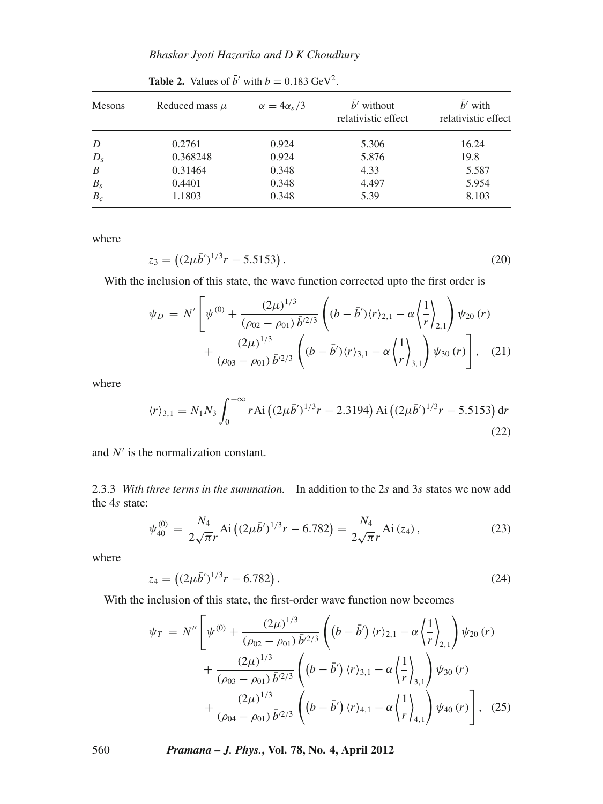| Mesons           | Reduced mass $\mu$ | $\alpha = 4\alpha_s/3$ | $\bar{b}'$ without<br>relativistic effect | $\bar{b}'$ with<br>relativistic effect |
|------------------|--------------------|------------------------|-------------------------------------------|----------------------------------------|
| D                | 0.2761             | 0.924                  | 5.306                                     | 16.24                                  |
| $D_s$            | 0.368248           | 0.924                  | 5.876                                     | 19.8                                   |
| $\boldsymbol{B}$ | 0.31464            | 0.348                  | 4.33                                      | 5.587                                  |
| $B_{s}$          | 0.4401             | 0.348                  | 4.497                                     | 5.954                                  |
| $B_c$            | 1.1803             | 0.348                  | 5.39                                      | 8.103                                  |

**Table 2.** Values of  $\bar{b}$ <sup> $\prime$ </sup> with  $b = 0.183 \text{ GeV}^2$ .

where

$$
z_3 = \left( (2\mu \bar{b}')^{1/3} r - 5.5153 \right). \tag{20}
$$

With the inclusion of this state, the wave function corrected upto the first order is

$$
\psi_D = N' \left[ \psi^{(0)} + \frac{(2\mu)^{1/3}}{(\rho_{02} - \rho_{01}) \bar{b}^{2/3}} \left( (b - \bar{b}') \langle r \rangle_{2,1} - \alpha \left\langle \frac{1}{r} \right\rangle_{2,1} \right) \psi_{20}(r) + \frac{(2\mu)^{1/3}}{(\rho_{03} - \rho_{01}) \bar{b}^{2/3}} \left( (b - \bar{b}') \langle r \rangle_{3,1} - \alpha \left\langle \frac{1}{r} \right\rangle_{3,1} \right) \psi_{30}(r) \right], \quad (21)
$$

where

$$
\langle r \rangle_{3,1} = N_1 N_3 \int_0^{+\infty} r \text{Ai} \left( (2\mu \bar{b}')^{1/3} r - 2.3194 \right) \text{Ai} \left( (2\mu \bar{b}')^{1/3} r - 5.5153 \right) \text{d}r \tag{22}
$$

and *N'* is the normalization constant.

2.3.3 *With three terms in the summation.* In addition to the 2*s* and 3*s* states we now add the 4*s* state:

$$
\psi_{40}^{(0)} = \frac{N_4}{2\sqrt{\pi}r} \text{Ai}\left((2\mu\bar{b}')^{1/3}r - 6.782\right) = \frac{N_4}{2\sqrt{\pi}r} \text{Ai}\left(z_4\right),\tag{23}
$$

where

$$
z_4 = \left( (2\mu \bar{b}')^{1/3} r - 6.782 \right). \tag{24}
$$

With the inclusion of this state, the first-order wave function now becomes

$$
\psi_T = N'' \left[ \psi^{(0)} + \frac{(2\mu)^{1/3}}{(\rho_{02} - \rho_{01}) \bar{b}^{2/3}} \left( (b - \bar{b}') \langle r \rangle_{2,1} - \alpha \left\langle \frac{1}{r} \right\rangle_{2,1} \right) \psi_{20}(r) + \frac{(2\mu)^{1/3}}{(\rho_{03} - \rho_{01}) \bar{b}^{2/3}} \left( (b - \bar{b}') \langle r \rangle_{3,1} - \alpha \left\langle \frac{1}{r} \right\rangle_{3,1} \right) \psi_{30}(r) + \frac{(2\mu)^{1/3}}{(\rho_{04} - \rho_{01}) \bar{b}^{2/3}} \left( (b - \bar{b}') \langle r \rangle_{4,1} - \alpha \left\langle \frac{1}{r} \right\rangle_{4,1} \right) \psi_{40}(r) \right], (25)
$$

560 *Pramana – J. Phys.***, Vol. 78, No. 4, April 2012**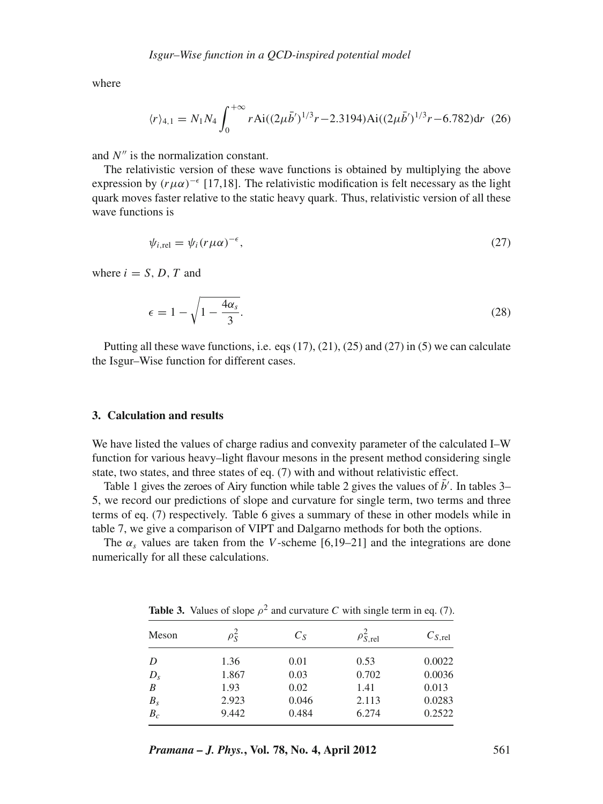where

$$
\langle r \rangle_{4,1} = N_1 N_4 \int_0^{+\infty} r \text{Ai}((2\mu \bar{b}')^{1/3} r - 2.3194) \text{Ai}((2\mu \bar{b}')^{1/3} r - 6.782) \text{d}r \tag{26}
$$

and *N''* is the normalization constant.

The relativistic version of these wave functions is obtained by multiplying the above expression by  $(r\mu\alpha)^{-\epsilon}$  [17,18]. The relativistic modification is felt necessary as the light quark moves faster relative to the static heavy quark. Thus, relativistic version of all these wave functions is

$$
\psi_{i,\text{rel}} = \psi_i (r\mu\alpha)^{-\epsilon},\tag{27}
$$

where  $i = S, D, T$  and

$$
\epsilon = 1 - \sqrt{1 - \frac{4\alpha_s}{3}}.\tag{28}
$$

Putting all these wave functions, i.e. eqs (17), (21), (25) and (27) in (5) we can calculate the Isgur–Wise function for different cases.

## **3. Calculation and results**

We have listed the values of charge radius and convexity parameter of the calculated I–W function for various heavy–light flavour mesons in the present method considering single state, two states, and three states of eq. (7) with and without relativistic effect.

Table 1 gives the zeroes of Airy function while table 2 gives the values of  $\bar{b}'$ . In tables 3– 5, we record our predictions of slope and curvature for single term, two terms and three terms of eq. (7) respectively. Table 6 gives a summary of these in other models while in table 7, we give a comparison of VIPT and Dalgarno methods for both the options.

The  $\alpha$ <sub>s</sub> values are taken from the *V*-scheme [6,19–21] and the integrations are done numerically for all these calculations.

**Table 3.** Values of slope  $\rho^2$  and curvature *C* with single term in eq. (7).

| Meson          | $\rho_{\tilde S}$ | $C_S$ | $\rho_{S,\mathrm{rel}}^2$ | $C_{S,rel}$ |
|----------------|-------------------|-------|---------------------------|-------------|
| D              | 1.36              | 0.01  | 0.53                      | 0.0022      |
| $D_{s}$        | 1.867             | 0.03  | 0.702                     | 0.0036      |
| B              | 1.93              | 0.02  | 1.41                      | 0.013       |
| $B_{s}$        | 2.923             | 0.046 | 2.113                     | 0.0283      |
| $B_c^{\prime}$ | 9.442             | 0.484 | 6.274                     | 0.2522      |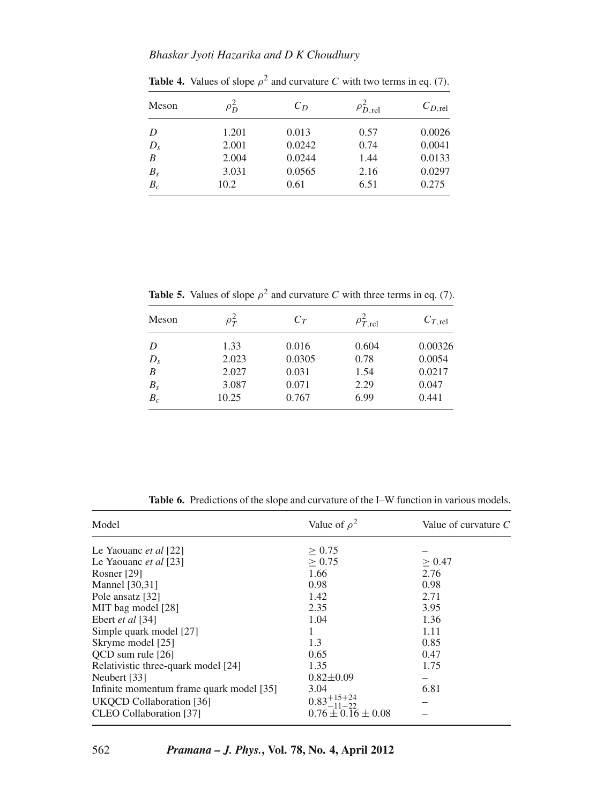| Meson          | $\rho_{D}^{\ast}$ | $C_D$  | $\rho_{D,\text{rel}}^2$ | $C_{D,\text{rel}}$ |
|----------------|-------------------|--------|-------------------------|--------------------|
| D              | 1.201             | 0.013  | 0.57                    | 0.0026             |
| $D_{s}$        | 2.001             | 0.0242 | 0.74                    | 0.0041             |
| $\overline{B}$ | 2.004             | 0.0244 | 1.44                    | 0.0133             |
| $B_{S}$        | 3.031             | 0.0565 | 2.16                    | 0.0297             |
| $B_c$          | 10.2              | 0.61   | 6.51                    | 0.275              |

**Table 4.** Values of slope  $\rho^2$  and curvature *C* with two terms in eq. (7).

**Table 5.** Values of slope  $\rho^2$  and curvature *C* with three terms in eq. (7).

| Meson             | $\rho_T^2$ | $C_T$  | $\rho_{T,\text{rel}}^2$ | $C_{T,\text{rel}}$ |
|-------------------|------------|--------|-------------------------|--------------------|
| D                 | 1.33       | 0.016  | 0.604                   | 0.00326            |
| $D_{s}$           | 2.023      | 0.0305 | 0.78                    | 0.0054             |
| $\overline{B}$    | 2.027      | 0.031  | 1.54                    | 0.0217             |
|                   | 3.087      | 0.071  | 2.29                    | 0.047              |
| $\frac{B_s}{B_c}$ | 10.25      | 0.767  | 6.99                    | 0.441              |

| Model                                    | Value of $\rho^2$        | Value of curvature $C$ |
|------------------------------------------|--------------------------|------------------------|
| Le Yaouanc <i>et al</i> [22]             | > 0.75                   |                        |
| Le Yaouanc et al [23]                    | > 0.75                   | > 0.47                 |
| Rosner $[29]$                            | 1.66                     | 2.76                   |
| Mannel [30,31]                           | 0.98                     | 0.98                   |
| Pole ansatz [32]                         | 1.42                     | 2.71                   |
| MIT bag model [28]                       | 2.35                     | 3.95                   |
| Ebert et al [34]                         | 1.04                     | 1.36                   |
| Simple quark model [27]                  |                          | 1.11                   |
| Skryme model [25]                        | 1.3                      | 0.85                   |
| OCD sum rule [26]                        | 0.65                     | 0.47                   |
| Relativistic three-quark model [24]      | 1.35                     | 1.75                   |
| Neubert [33]                             | $0.82 \pm 0.09$          |                        |
| Infinite momentum frame quark model [35] | 3.04                     | 6.81                   |
| UKQCD Collaboration [36]                 | $0.83_{-11-22}^{+15+24}$ |                        |
| CLEO Collaboration [37]                  | $0.76 \pm 0.16 \pm 0.08$ |                        |

**Table 6.** Predictions of the slope and curvature of the I–W function in various models.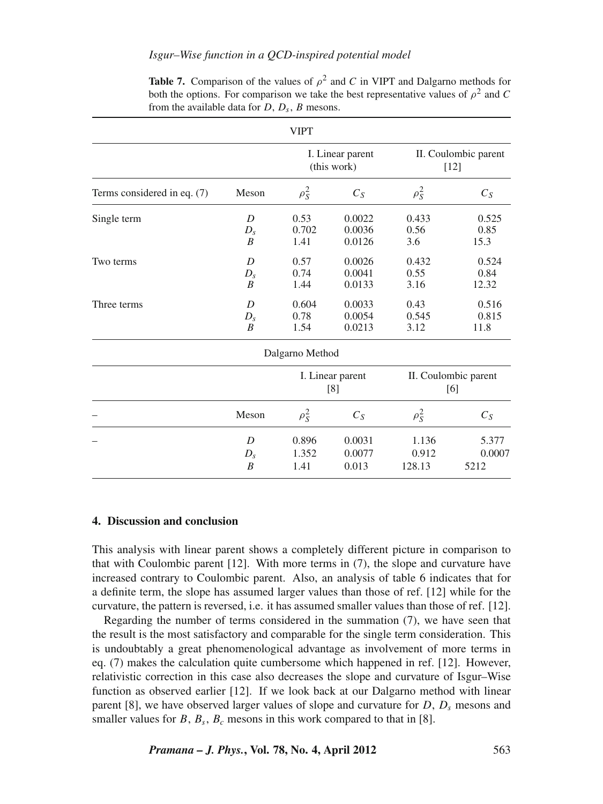# *Isgur–Wise function in a QCD-inspired potential model*

|                             |                                  | <b>VIPT</b>                     |                            |                                |                         |
|-----------------------------|----------------------------------|---------------------------------|----------------------------|--------------------------------|-------------------------|
|                             |                                  | I. Linear parent<br>(this work) |                            | II. Coulombic parent<br>$[12]$ |                         |
| Terms considered in eq. (7) | Meson                            | $\rho_S^2$                      | $C_S$                      | $\rho_S^2$                     | $C_S$                   |
| Single term                 | D<br>$D_{s}$<br>B                | 0.53<br>0.702<br>1.41           | 0.0022<br>0.0036<br>0.0126 | 0.433<br>0.56<br>3.6           | 0.525<br>0.85<br>15.3   |
| Two terms                   | D<br>$D_{s}$<br>B                | 0.57<br>0.74<br>1.44            | 0.0026<br>0.0041<br>0.0133 | 0.432<br>0.55<br>3.16          | 0.524<br>0.84<br>12.32  |
| Three terms                 | D<br>$D_{s}$<br>B                | 0.604<br>0.78<br>1.54           | 0.0033<br>0.0054<br>0.0213 | 0.43<br>0.545<br>3.12          | 0.516<br>0.815<br>11.8  |
|                             |                                  | Dalgarno Method                 |                            |                                |                         |
|                             |                                  | I. Linear parent<br>[8]         |                            | II. Coulombic parent<br>[6]    |                         |
|                             | Meson                            | $\rho_S^2$                      | $C_S$                      | $\rho_S^2$                     | $C_S$                   |
|                             | D<br>$D_{s}$<br>$\boldsymbol{B}$ | 0.896<br>1.352<br>1.41          | 0.0031<br>0.0077<br>0.013  | 1.136<br>0.912<br>128.13       | 5.377<br>0.0007<br>5212 |

**Table 7.** Comparison of the values of  $\rho^2$  and *C* in VIPT and Dalgarno methods for both the options. For comparison we take the best representative values of  $\rho^2$  and *C* from the available data for  $D$ ,  $D_s$ ,  $B$  mesons.

# **4. Discussion and conclusion**

This analysis with linear parent shows a completely different picture in comparison to that with Coulombic parent [12]. With more terms in (7), the slope and curvature have increased contrary to Coulombic parent. Also, an analysis of table 6 indicates that for a definite term, the slope has assumed larger values than those of ref. [12] while for the curvature, the pattern is reversed, i.e. it has assumed smaller values than those of ref. [12].

Regarding the number of terms considered in the summation (7), we have seen that the result is the most satisfactory and comparable for the single term consideration. This is undoubtably a great phenomenological advantage as involvement of more terms in eq. (7) makes the calculation quite cumbersome which happened in ref. [12]. However, relativistic correction in this case also decreases the slope and curvature of Isgur–Wise function as observed earlier [12]. If we look back at our Dalgarno method with linear parent [8], we have observed larger values of slope and curvature for  $D$ ,  $D<sub>s</sub>$  mesons and smaller values for  $B$ ,  $B_s$ ,  $B_c$  mesons in this work compared to that in [8].

*Pramana – J. Phys.***, Vol. 78, No. 4, April 2012** 563